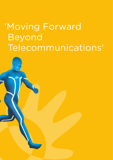# 'Moving Forward Beyond Telecommunications'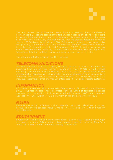

## *TELECOMMUNICATIONS*

## *INFORMATION*

## *MEDIA*

## *EDUTAINMENT*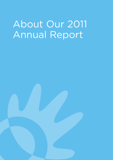# About Our 2011 Annual Report

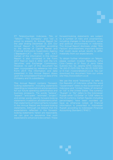"Telkom", "The Company", and "we", is proud to present its Annual Report for the year ending December 31, 2011. Our Annual Report is furnished according to the decree of Capital Market and Financial Institutions Supervisory Agency ("Bapepam-LK") No.X.K.6 and X.K.7. Certain of the information in this Annual Report is also contained in the Form Securities and Exchange Commission. Form 20-F. The information and data presented in this Annual Report draws upon the consolidated financial data of the Company and its subsidiaries.

This Annual Report contains "forwardlooking statements", including statements regarding our expectations and projections for our future operating performance and business prospects. The words "believe", "expect", "anticipate", "estimate", "project" statements. In addition, all statements other than statements of historical facts included in this Annual Report are forward-looking statements. Although we believe that the expectations reflected in the forwardlooking statements herein are reasonable, we can give no assurance that such expectations will prove to be correct. These forward-looking statements are subject to a number of risks and uncertainties, including changes in the economic, social This Annual Report discloses, under "Risk that could cause actual results to differ materially from our expectations.

To obtain further information on Telkom, Citra Caraka on 5<sup>th</sup> floor, Jl. Jend. Gatot Subroto Kav. 52, Jakarta 12710, Indonesia. or E-mail: investor@telkom.co.id. You can download this document from our online

We use the word "Indonesia" to refer to the Republic of Indonesia while the word "Government" refers to the Government of "Rupiah" or "Rp" refers to the Indonesian Rupiah while "US Dollar" or "US\$" refers to the US currency. Certain figures (including percentages) have been rounded up. Save as otherwise noted, all financial Rupiah according to Indonesian Financial Accounting Standard ("IFAS").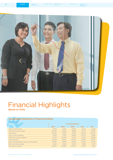

## Financial Highlights **(Based on IFAS)**

#### **Consolidated Statements of Financial Position**

| (in billion Rupiah)                         | As of December 31, |          |          |         |         |  |  |
|---------------------------------------------|--------------------|----------|----------|---------|---------|--|--|
|                                             | 2007*              | 2008*    | 2009*    | 2010    | 2011    |  |  |
| <b>Total Current Assets</b>                 | 15.978             | 14,622   | 16,095   | 18.729  | 21,258  |  |  |
| <b>Total Non-Current Assets</b>             | 66.078             | 76.634   | 81.836   | 81,772  | 81.796  |  |  |
| <b>Total Assets</b>                         | 82.056             | 91.256   | 97,931   | 100.501 | 103.054 |  |  |
| <b>Total Current Liabilities</b>            | 21.018             | 27.218   | 26,892   | 20.473  | 22,189  |  |  |
| <b>Total Non-Current Liabilities</b>        | 18.441             | 20.444   | 21.544   | 23.613  | 19,884  |  |  |
| <b>Total Liabilities</b>                    | 39.459             | 47.662   | 48.436   | 44.086  | 42,073  |  |  |
| Equity Attributable to Owners of the Parent | 33.292             | 33.910   | 38.562   | 44.419  | 47,510  |  |  |
| Non-Controlling Interest                    | 9.305              | 9.684    | 10.933   | 11.996  | 13.471  |  |  |
| Net Working Capital                         | (5,040)            | (12,596) | (10.797) | (1.744) | (931)   |  |  |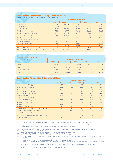Corporate Governance

**4**

#### **Consolidated Statements of Comprehensive Income**

(in billions of Rupiah, except for Income per Share and Income per ADS)

|                                        | <b>Year ended December 31,</b> |           |           |           |           |  |  |  |  |
|----------------------------------------|--------------------------------|-----------|-----------|-----------|-----------|--|--|--|--|
|                                        | 2007*                          | 2008*     | 2009*     | 2010      | 2011      |  |  |  |  |
| <b>Total Revenues</b>                  | 63.303                         | 64.974    | 68,220    | 69.177    | 71,918    |  |  |  |  |
| <b>Total Expenses</b>                  | 36.392                         | 43.606    | 44.139    | 46.254    | 49,970    |  |  |  |  |
| Adiusted EBITDA**                      | 37,521                         | 33.700    | 38,056    | 37.535    | 36,811    |  |  |  |  |
| <b>PROFIT</b>                          | 26.911                         | 21.368    | 24,081    | 22,923    | 21,948    |  |  |  |  |
| <b>Total Finance Costs - Net</b>       | (1,042)                        | (969)     | (1,634)   | (1,507)   | (1,091)   |  |  |  |  |
| PROFIT BEFORE INCOME TAX               | 25.869                         | 20,399    | 22,447    | 21,416    | 20,857    |  |  |  |  |
| Income Tax (Expense) Benefit           | (8,015)                        | (5,674)   | (6,404)   | (5,546)   | (5,387)   |  |  |  |  |
| PROFIT FOR THE YEAR                    | 17,854                         | 14,725    | 16,043    | 15,870    | 15,470    |  |  |  |  |
| Profit for the year attributable to:   |                                |           |           |           |           |  |  |  |  |
| Owners of the parent                   | 13.043                         | 10,672    | 11.399    | 11.537    | 10,965    |  |  |  |  |
| Non-Controlling Interest               | 4.811                          | 4.053     | 4.644     | 4.333     | 4,505     |  |  |  |  |
|                                        | 17,854                         | 14,725    | 16,043    | 15,870    | 15,470    |  |  |  |  |
| Income per share of Common Stock       | 653.40                         | 540.38    | 579.52    | 586.54    | 559.67    |  |  |  |  |
| Income per ADS (40:1 Common Stock:ADS) | 26,135.70                      | 21,615.20 | 23,180,80 | 23,461,60 | 22,386.80 |  |  |  |  |

#### **Capital Expenditures**

| (in billions Rupiah)       | Year ended December 31, |        |        |        |        |  |  |  |  |
|----------------------------|-------------------------|--------|--------|--------|--------|--|--|--|--|
|                            | 2007                    | 2008   | 2009   | 2010   | 2011   |  |  |  |  |
| <b>Telkom</b>              | 3.508                   | 6.087  | 5.652  | 3.623  | 4,202  |  |  |  |  |
| <b>Telkomsel</b>           | 12,132                  | 15.915 | 12.673 | 8.197  | 8,472  |  |  |  |  |
| <b>Others Subsidiaries</b> | 140                     | 243    | 836    | 831    | 1,929  |  |  |  |  |
| Total                      | 15,780                  | 22.245 | 19.161 | 12.651 | 14,603 |  |  |  |  |

#### **Consolidated Financial and Operational Ratios**

|                                                           | <b>Year ended December 31,</b> |       |         |         |         |  |  |  |
|-----------------------------------------------------------|--------------------------------|-------|---------|---------|---------|--|--|--|
|                                                           | 2007*                          | 2008* | 2009*   | 2010    | 2011    |  |  |  |
| Return on Asset (ROA) (%) <sup>1</sup>                    | 15.9                           | 11.7  | 11.6    | 11.5    | 10.6    |  |  |  |
| Return on Equity (ROE) (%) <sup>2</sup>                   | 39.2                           | 31.5  | 29.6    | 26.0    | 23.1    |  |  |  |
| Current Ratio (%) <sup>3</sup>                            | 76.0                           | 53.7  | 59.9    | 91.5    | 95.8    |  |  |  |
| Total Liabilities to Total Assets (%) <sup>4</sup>        | 48.1                           | 52.2  | 49.5    | 43.9    | 40.8    |  |  |  |
| Total Liabilities to Equity (%) <sup>5</sup>              | 118.5                          | 140.6 | 125.6   | 99.3    | 88.6    |  |  |  |
| Profit Margin (%) <sup>6</sup>                            | 42.5                           | 32.9  | 35.3    | 33.1    | 30.5    |  |  |  |
| Average Collection Period (days) <sup>7</sup>             | 19.4                           | 19.7  | 19.8    | 22.9    | 24.9    |  |  |  |
| Adjusted EBITDA Margin (%) <sup>8</sup>                   | 59.3                           | 51.9  | 55.8    | 54.3    | 51.2    |  |  |  |
| Net Income Margin (%) <sup>9</sup>                        | 20.6                           | 16.4  | 16.7    | 16.7    | 15.2    |  |  |  |
| Debt to Equity (%) <sup>10</sup>                          | 47.4                           | 58.2  | 56.7    | 48.2    | 36.5    |  |  |  |
| Debt to Adjusted EBITDA (%) <sup>11</sup>                 | 42.0                           | 58.6  | 57.5    | 57.0    | 47.2    |  |  |  |
| Adjusted EBITDA to Interest Expense (times) <sup>12</sup> | 24.0                           | 20.5  | 18.2    | 19.5    | 22.5    |  |  |  |
| Adjusted EBITDA to Net Debt (%) <sup>13</sup>             | 686.1                          | 268.6 | 278.4   | 316.0   | 499.6   |  |  |  |
| PRODUCTIVITY RATIOS:                                      |                                |       |         |         |         |  |  |  |
| Total Revenue/Employee (in billions of Rupiah)            | 1.9                            | 2.2   | 2.4     | 2.6     | 2.8     |  |  |  |
| LIS/Emplovee (line) <sup>14</sup>                         | 593.4                          | 853.7 | 1,015.6 | 1,252.0 | 1,154.7 |  |  |  |

(1) ROA represents profit for the year attributable to owners of the parent divided by total assets as of December 31 of that year.

 $(2)$ ROE represents profit for the year attributable to owners of the parent divided by equity attributable to owners of the parent as of December 31 of that year.

 $(3)$ Current ratio represents current assets divided by current liabilities as of December 31 of that year. Total liabilities to total assets represent total liabilities divided by total assets as of December 31 of that year.

(4) (5) (6)

- Total liabilities to equity represent total liabilities divided by equity attributable to owners of the parent as of December 31 of that year.<br>Profit margin represents profit divided by total revenues.
- 
- (7) (8)
- 
- (9) (10) Average collection period represents trade receivables divided by total revenues times 365 days.<br>Adjusted EBITDA margin represents adjusted EBITDA divided by total revenues.<br>Net income margin represents profit for the year of that year.
- 
- (11) (12) Debt to adjusted EBITDA represents debt exclude obligation under finance lease divided by adjusted EBITDA. Adjusted EBITDA to interest expense represents adjusted EBITDA divided by interest expense.
- $(13)$ Adjusted EBITDA to net debt represents adjusted EBITDA divided by total debt exclude obligation under finance lease minus cash and cash equivalents,<br>available for sale financial assets and escrow accounts as of December 31

(14) LIS per employee represents fixed wireline and fixed wireless subscribers divided by total TELKOM's employees as a parent company.

\*) Reclassified, refer to Note 2a and 47 to our Consolidated Financial Statements.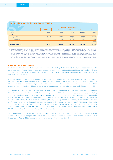#### **Reconciliation of Profit to Adjusted EBITDA**

| (in billions of Rupiah) | Year ended December 31, |        |        |        |        |  |  |  |
|-------------------------|-------------------------|--------|--------|--------|--------|--|--|--|
|                         | 2007*                   | 2008*  | 2009*  | 2010   | 2011   |  |  |  |
| Profit                  | 26,911                  | 21,368 | 24,081 | 22,923 | 21,948 |  |  |  |
| Add:                    |                         |        |        |        |        |  |  |  |
| Depreciation            | 9.440                   | 11.070 | 12.566 | 13,085 | 13,701 |  |  |  |
| Amortization            | 1,170                   | 1,262  | 1,409  | 1,527  | 599    |  |  |  |
| Impairment loss         | ۰                       | ۰      | ۰      | ٠      | 563    |  |  |  |
| <b>Adjusted EBITDA</b>  | 37,521                  | 33,700 | 38,056 | 37,535 | 36,811 |  |  |  |

Adjusted EBITDA is defined as profit before depreciation and amortization (including impairment loss). Adjusted EBITDA and the related ratios presented in this Annual Report are supplemental measure of our performance and liquidity that are not required by, or presented in accordance with, IFAS. Adjusted EBITDA is not a measurement of our performance under IFAS and should not be considered as alternative<br>to net profit or any other performance measures derived in accordance with IFAS or as al a measure of our liquidity. We consider adjusted EBITDA to be a useful measure of our operating performance because it reflects the underlying operating cash cost by eliminating depreciation and amortization. The methods we use to calculate adjusted EBITDA may differ from the use of the term EBITDA or adjusted EBITDA by other companies. The following table shows the reconciliation of our profit to our adjusted EBITDA.

#### **FINANCIAL HIGHLIGHTS**

KAP Tanudiredja, Wibisana & Rekan, a member firm of the PwC global network ("PwC"), was appointed to audit our Consolidated Financial Statements for the fiscal years 2006, 2007, 2008, 2009, 2010 and 2011 (collectively the "Consolidated Financial Statements"). Prior to March 8, 2010, KAP Tanudiredja, Wibisana & Rekan was named KAP Haryanto Sahari & Rekan.

Our Consolidated Financial Statements were prepared in accordance with IFAS, which differ in certain significant respects from International Financial Reporting Standards ("IFRS"). See Note 48 to our Consolidated Financial Statements for a summary of the significant differences between IFAS and IFRS, as well as reconciliation to IFRS of the statement of financial position and statement of comprehensive income for the year ended December 31, 2011.

On December 31, 2011, the financial statements of nine of our subsidiaries were consolidated into the Consolidated Financial Statements for the year 2011. The nine companies are PT Telekomunikasi Indonesia International ("Telin", a wholly-owned subsidiary), PT Dayamitra Telekomunikasi ("Mitratel", a wholly-owned subsidiary), PT Pramindo Ikat Nusantara ("Pramindo", a wholly-owned subsidiary), PT Telekomunikasi Selular ("Telkomsel", in which we own a 65.00% stake), PT Multimedia Nusantara ("Metra", a wholly-owned subsidiary), PT Infomedia Nusantara ("Infomedia", wholly-owned through a direct interest and a 49.00% stake owned by Metra), PT Indonusa Telemedia ("Indonusa", wholly-owned through a direct interest and a 0.46% stake owned by Metra), PT Graha Sarana Duta ("GSD", in which we own a 99.99% stake), and PT Napsindo Primatel Internasional ("Napsindo", in which we own a 60.00% stake). See Note 1d to our Consolidated Financial Statements.

The table below summarizes our financial information for each specified year. This information should be read in conjunction with "Management's Discussion and Analysis – Financial Overview" and please also refer to our Consolidated Financial Statements and the related notes in this Annual Report.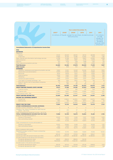### **6** Management's Discussion and Analysis of the Company's Performance

Corporate Governance

|                                                             |       |       | Year ended December 31,                                                        |      |      |                                                                                                            |
|-------------------------------------------------------------|-------|-------|--------------------------------------------------------------------------------|------|------|------------------------------------------------------------------------------------------------------------|
|                                                             | 2007* | 2008* | $2009*$                                                                        | 2010 | 2011 | 2011                                                                                                       |
|                                                             |       |       | (In billions of Rupiah, except for per share, dividend and per<br>ADS amounts) |      |      | (In millions<br>of US\$.<br>except for<br>per share.<br>dividend<br>and per ADS<br>amounts) <sup>(1)</sup> |
| <b>Consolidated Statements of Comprehensive Income Data</b> |       |       |                                                                                |      |      |                                                                                                            |

#### IFAS

REVENUES Telephone Cellular 23,541 26,529 28,532 29,134 28,598 3,154 Fixed lines 19,683 16,709 14,286 12,940 11,619 1,281 Data, internet and information technology services 14,785 14,768 18,512 19,801 23,924 2,638 Interconnection 3,637 4,363 3,867 3,735 3,509 387 Network 707 1,079 1,218 1,058 1,301 143 Other telecommunications services 330 718 1,263 1,961 2,302 254 Total Revenues **62,683 64,166 67,678 68,629 71,253 7,857** Other Income 620 808 542 548 665 73 EXPENSES Operation, maintenance and telecommunication services 9,662 12,301 14,549 16,046 16,372 1,806 Pepreciation and amortization<br>
10,610 12,332 13,975 14,612 14,863 1,639<br>
2 Personnel 16,979 8,371 7,332 8,555 943 Personnel 8,414 8,979 8,371 7,332 8,555 943 Interconnection 3,055 3,263 2,929 3,086 3,555 392 Marketing 1,769 2,350 2,260 2,525 3,278 362 General and administrative 2,583 2,504 2,806 2,537 2,935 2,935 2,249 2,806 2,537 2,935 324 Loss (gain) on foreign exchange - net 295 1,614 (973) (43) 210 23<br>
Share of (profit) loss of associated companies (7) (20) 30 14 10 1 Share of (profit) loss of associated companies (7) (20) 30 14 10 1<br>Others - net 11 283 192 145 192 21 Others - net 11 283 192 145 192 21 Total Expenses **36,392 43,606 44,139 46,254 49,970 5,511** PROFIT BEFORE FINANCE (COST) INCOME **26,911 21,368 24,081 22,923 21,948 2,419** Finance income 519 672 462 421 546 60 Finance costs (1,561) (1,641) (2,096) (1,928) (1,637) (181) Total Finance Costs - Net (1,042) (969) (1,634) (1,507 (1,091 (121) PROFIT BEFORE INCOME TAX **25,869 20,399 22,447 21,416 20,857 2,298** INCOME TAX (EXPENSE) BENEFIT Current tax (7,234) (5,824) (6,030) (4,669) (5,673) (626) Deferred tax (781) 150 (374) (877) 286 32 (8,015) (5,674) (6,404) (5,546) (5,387) (594) PROFIT FOR THE YEAR **17,854 14,725 16,043 15,870 15,470 1,704 OTHER COMPREHENSIVE INCOME (EXPENSE)** Foreign currency translation - net of tax 2 8 (7 2 7 1 Change in fair value of available-for-sale financial assets - net of tax <sup>2</sup> (30 <sup>37</sup> <sup>32</sup> <sup>4</sup> - Total comprehensive (expense) income - net of tax 4 (22 30 34 11 12 1 **TOTAL COMPREHENSIVE INCOME FOR THE YEAR 17,858 14,703 16,073 15,904 15,481 1,705** Profit for the year attributable to: Owners of the parent 13,043 13,043 10,672 11,399 11,537 10,965 1,209 Non-controlling interest 4,811 4,053 4,644 4,333 4,505 495 17,854 14,725 16,043 15,870 15,470 1,704 Total comprehensive income attributable to: Owners of the parent 13,047 10,650 11,429 11,571 10,976 1,210 Non-controlling interest 4,811 4,053 4,644 4,333 4,505 495 17,858 14,703 16,073 15,904 15,481 1,705 BASIC EARNING PER SHARE Weighted average number of shares outstanding<br>(in millions) (in millions) 19,962 19,749 19,669 19,669 19,592 19,592 Income per share 653.40 540.38 579.52 586.54 559.67 0.06 Income per ADS (40 series B shares per ADS) 26,135.70 21,615.20 23,180.80 23,461.60 22,386.80 2.47 Dividend relating to the period (accrual basis) Dividends declared per share 455.87 296.94 288.06 322.59 Dividends declared per ADS 18,234.80 11,877.60 11,522.40 12,903.60 Dividend paid in the period (cash basis) Dividends declared per share2) 303.25 407.42 323.59 275.45 308.56 0.03

Dividends declared per ADS 12,130.00 16,296.80 12,943.60 11,017.83 12,342.57 1.36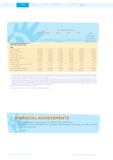|                                                                     |        |        |                                                                                         | Year ended December 31, |         |                                                                                                              |
|---------------------------------------------------------------------|--------|--------|-----------------------------------------------------------------------------------------|-------------------------|---------|--------------------------------------------------------------------------------------------------------------|
|                                                                     | 2007*  | 2008*  | 2009*<br>(In billions of Rupiah, except for per share, dividend and per ADS<br>amounts) | 2010                    | 2011    | 2011<br>(In millions of<br>US\$, except<br>for per share.<br>dividend and per<br>ADS amounts) <sup>(1)</sup> |
| <b>Consolidated Statements of</b><br><b>Financial Position Data</b> |        |        |                                                                                         |                         |         |                                                                                                              |
| <b>IFAS</b>                                                         |        |        |                                                                                         |                         |         |                                                                                                              |
| Current assets                                                      | 15,978 | 14,622 | 16,095                                                                                  | 18,729                  | 21,258  | 2,344                                                                                                        |
| Non-current assets                                                  | 66,078 | 76,634 | 81,836                                                                                  | 81.772                  | 81.796  | 9,020                                                                                                        |
| Total assets                                                        | 82,056 | 91,256 | 97.931                                                                                  | 100,501                 | 103,054 | 11.364                                                                                                       |
| Current liabilities <sup>3)</sup>                                   | 21,018 | 27,218 | 26,892                                                                                  | 20,473                  | 22,189  | 2,447                                                                                                        |
| Non-current liabilities                                             | 18,441 | 20,444 | 21,544                                                                                  | 23,613                  | 19,884  | 2,193                                                                                                        |
| <b>Total liabilities</b>                                            | 39,459 | 47,662 | 48,436                                                                                  | 44,086                  | 42,073  | 4,640                                                                                                        |
| Capital Stock                                                       | 5,040  | 5,040  | 5.040                                                                                   | 5,040                   | 5.040   | 556                                                                                                          |
| Equity attributable to owners of<br>the parents                     | 33,292 | 33.910 | 38,562                                                                                  | 44.419                  | 47.510  | 5,240                                                                                                        |
| Non-controlling interest                                            | 9,305  | 9,684  | 10,933                                                                                  | 11.996                  | 13.471  | 1.484                                                                                                        |
| Total liabilities and equity                                        | 82.056 | 91.256 | 97.931                                                                                  | 100,501                 | 103.054 | 11,364                                                                                                       |

(1) US Dollar figures are included solely for reader convenience and were made using the middle of the market buying and selling rates published by Reuters on December 31, 2011 on December 20,067.5 per US Dollar. This rate

,2) In 2007, we paid a dividend computed as a cash dividend for 2006 of Rp254.80 per share and interim cash dividend 2007 of Rp48.45 per share. In 2008, we paid a dividend computed as a cash dividend for 2006 of Rp254.80 p Rp322.59 per share (see Note 33 to our Consolidated Financial Statements).

(3) Includes current maturities of long term loans.

\* Reclassified, refer to Note 2a and 47 Consolidated Financial Statements.

## **FINANCIAL ACHIEVEMENTS**

a. Our consolidated revenue grew by 3.8% to Rp71,253 billion.

b. We increased the contribution of our data, internet and IT business by 4.7% to 33.6% of our total revenue.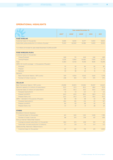### **OPERATIONAL HIGHLIGHTS**

|                                                                     | Year ended December 31, |        |        |        |        |  |
|---------------------------------------------------------------------|-------------------------|--------|--------|--------|--------|--|
|                                                                     | 2007*                   | 2008*  | 2009*  | 2010   | 2011   |  |
| <b>FIXED WIRELINE</b>                                               |                         |        |        |        |        |  |
| Customer base (in thousands)                                        | 8,685                   | 8,630  | 8,377  | 8,303  | 8,602  |  |
| Subscriber pulse production (in millions of pulse)*                 | 75,451                  | 62,940 | 54,186 | 9,403  | 8,054  |  |
| *) in millions of minutes for year ended December 31, 2010 and 2011 |                         |        |        |        |        |  |
| <b>FIXED WIRELESS (FLEXI)</b>                                       |                         |        |        |        |        |  |
| Customer base (in thousands):                                       |                         |        |        |        |        |  |
| Classy/Postpaid                                                     | 828                     | 731    | 649    | 546    | 468    |  |
| Trendy/Prepaid                                                      | 5,535                   | 11,994 | 14,490 | 17,615 | 13,770 |  |
| Total                                                               | 6,363                   | 12,725 | 15,139 | 18,161 | 14,238 |  |
| ARPU (12 months average - in thousands of Rupiah):                  |                         |        |        |        |        |  |
| Postpaid                                                            | 115                     | 93     | 84     | 82     | 80     |  |
| Prepaid                                                             | 42                      | 32     | 18     | 13     | 9      |  |
| <b>Blended</b>                                                      | 53                      | 38     | 22     | 15     | 10     |  |
| Network:                                                            |                         |        |        |        |        |  |
| Base Transceiver Station / BTS (units)                              | 1,911                   | 4,054  | 5,543  | 5,641  | 5,718  |  |
| Number of cities in service                                         | 238                     | 353    | 370    | 370    | 370    |  |
| <b>CELLULAR</b>                                                     |                         |        |        |        |        |  |
| Base Transceiver Station / BTS (units)                              | 20,858                  | 26,872 | 30,992 | 36,557 | 42,623 |  |
| Network capacity (in millions of subscribers)                       | 50.5                    | 67.3   | 85.2   | 98.6   | 115.9  |  |
| Customer base (in millions of subscribers)                          | 47.9                    | 65.3   | 81.6   | 94.0   | 107.0  |  |
| Postpaid (kartuHALO)                                                | 1.9                     | 1.9    | 2.0    | 2.1    | 2.2    |  |
| Prepaid (simPATI)                                                   | 24.0                    | 43.0   | 58.0   | 56.9   | 51.3   |  |
| Prepaid (Kartu As)                                                  | 22.0                    | 20.3   | 21.6   | 35.0   | 53.5   |  |
| ARPU - blended (in thousands of Rupiah)                             | 80                      | 59     | 48     | 42     | 39     |  |
| Postpaid (kartuHALO)                                                | 264                     | 216    | 214    | 211    | 197    |  |
| Prepaid (simPATI)                                                   | 84                      | 63     | 48     | 42     | 45     |  |
| Prepaid (Kartu As)                                                  | 57                      | 37     | 31     | 28     | 24     |  |
| <b>OTHERS</b>                                                       |                         |        |        |        |        |  |
| Broadband Internet (Speedy):                                        |                         |        |        |        |        |  |
| Customer base (in thousands)                                        | 241                     | 645    | 1,145  | 1,649  | 1,789  |  |
| Number of cities in service                                         | 88                      | 375    | 378    | 431    | 456    |  |
| Dial-up Internet (TelkomNet Instant):                               |                         |        |        |        |        |  |
| Average accessed subscribers (in thousands)                         | 662                     | 574    | 448    | 103    | 40     |  |
| Subscriber minutes production (in billions)                         | 3.7                     | 2.8    | 1.5    | 0.4    | 0.2    |  |
| Cable and Pay Television (TelkomVision):                            |                         |        |        |        |        |  |
| Customer base (in thousands)                                        | 67                      | 210    | 179    | 213    | 1,000  |  |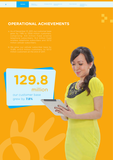## **OPERATIONAL ACHIEVEMENTS**

- 
- 

# **129.8** million

our customer base grew by **7.8%** 

pany Profile

Human Res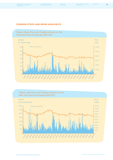Appendices

### **COMMON STOCK AND BOND HIGHLIGHTS**



#### Telkom ADS Price and Trading Volume on the New York Stock Exchange 2010-2011 Volume Price Price (US\$) Volume (in thousand ADS) 1,400 1,200 1,000 800 600 400 200 0 5,00  $\Omega$ 10,00 15,00 20,00 25.00 30,00 35,00 40,00 45,00 50,00 **1/5/10 2/23/10** 3/16/10  $\int_{0}^{T}f(y) e^{-\frac{1}{2}(y-y)} e^{-\frac{1}{2}(y-y)} e^{-\frac{1}{2}(y-y)} e^{-\frac{1}{2}(y-y)} e^{-\frac{1}{2}(y-y)} e^{-\frac{1}{2}(y-y)} e^{-\frac{1}{2}(y-y)} e^{-\frac{1}{2}(y-y)} e^{-\frac{1}{2}(y-y)} e^{-\frac{1}{2}(y-y)} e^{-\frac{1}{2}(y-y)} e^{-\frac{1}{2}(y-y)} e^{-\frac{1}{2}(y-y)} e^{-\frac{1}{2}(y-y)} e^{-\frac{1}{2}(y-y)} e^{-\frac{1}{2}(y-y)} e^{-\frac{1}{2}(y-y)} e^{-\frac{$ **B/NA 9/19/11** 10/17/11 **N/211-12/2011**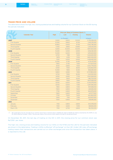#### **TRADE PRICE AND VOLUME**

The table below shows the high, low, closing quoted prices and trading volume for our Common Stock on the IDX during the periods indicated:

|                       | <b>Price per Share of Common Stock (*)</b> |             |                |               |  |  |
|-----------------------|--------------------------------------------|-------------|----------------|---------------|--|--|
| <b>Calendar Year</b>  | <b>High</b>                                | Low         | <b>Closing</b> | <b>Volume</b> |  |  |
|                       |                                            | (in Rupiah) |                | (shares)      |  |  |
| 2007                  | 12.650                                     | 8,900       | 10,000         | 5,718,438,000 |  |  |
| <b>First Quarter</b>  | 10,350                                     | 8,900       | 9,700          | 1,250,176,000 |  |  |
| <b>Second Quarter</b> | 10,800                                     | 9,400       | 9,700          | 1,340,736,500 |  |  |
| <b>Third Quarter</b>  | 11,450                                     | 9,850       | 10,850         | 1,230,125,000 |  |  |
| <b>Fourth Quarter</b> | 12,650                                     | 10,000      | 10,000         | 1,897,400,500 |  |  |
| 2008                  | 10,250                                     | 5,000       | 6,900          | 6,162,126,500 |  |  |
| <b>First Quarter</b>  | 10,250                                     | 8.400       | 9,500          | 1,615,643,500 |  |  |
| <b>Second Quarter</b> | 9,700                                      | 7,189       | 7,200          | 1,424,645,500 |  |  |
| <b>Third Quarter</b>  | 7,878                                      | 6,155       | 7,050          | 1,663,345,000 |  |  |
| <b>Fourth Quarter</b> | 7,250                                      | 5,000       | 6,900          | 1,458,492,500 |  |  |
| 2009                  | 10,350                                     | 5,750       | 9,450          | 4,174,413,500 |  |  |
| <b>First Quarter</b>  | 7,900                                      | 5,750       | 7,550          | 677,507,000   |  |  |
| <b>Second Quarter</b> | 8,100                                      | 6,850       | 7,500          | 1,405,779,000 |  |  |
| <b>Third Quarter</b>  | 9.450                                      | 7,550       | 8.650          | 1,232,832,000 |  |  |
| <b>Fourth Quarter</b> | 10,350                                     | 7,850       | 9,450          | 858,295,500   |  |  |
| 2010                  | 9,800                                      | 6,950       | 7,950          | 5,707,850,000 |  |  |
| <b>First Quarter</b>  | 9,700                                      | 7,950       | 8,050          | 1,143,530,500 |  |  |
| <b>Second Quarter</b> | 8,350                                      | 6,950       | 7.700          | 1,550,508,500 |  |  |
| <b>Third Quarter</b>  | 9,450                                      | 7,600       | 9,200          | 1,186,753,000 |  |  |
| <b>Fourth Quarter</b> | 9,800                                      | 7,650       | 7,950          | 1,827,058,000 |  |  |
| 2011                  | 8,050                                      | 6,600       | 7.050          | 4,441,579,000 |  |  |
| <b>First Quarter</b>  | 8,050                                      | 6,600       | 7,350          | 1,297,346,000 |  |  |
| <b>Second Quarter</b> | 7,850                                      | 6,800       | 7,350          | 957,638,000   |  |  |
| <b>Third Quarter</b>  | 7,900                                      | 6,900       | 7,600          | 1,261,616,000 |  |  |
| <b>Fourth Quarter</b> | 7,750                                      | 6,900       | 7.050          | 924,979,000   |  |  |
| September             | 7,900                                      | 6,900       | 7,600          | 447,377,500   |  |  |
| October               | 7,750                                      | 7,000       | 7,400          | 442,462,000   |  |  |
| November              | 7,650                                      | 7,150       | 7,350          | 222,600,500   |  |  |
| December              | 7,500                                      | 6,900       | 7,050          | 259,916,500   |  |  |
| 2012                  |                                            |             |                |               |  |  |
| January               | 7,150                                      | 6,800       | 6.800          | 344,578,000   |  |  |
| February              | 7,100                                      | 6,650       | 7,050          | 369,165,000   |  |  |
| March (15)            | 7,150                                      | 6,700       | 6,800          | 182,332,000   |  |  |

(\*) We conducted a two for one split of our common stock from a nominal value of Rp500 per share to Rp250 per share as resolved by the AGMS on July<br>30, 2004, effective October 1, 2004. The price per share of the common sto

On December 30, 2011, the last day of trading on the IDX in 2011, the closing price for our common stock was Rp7,050 per share.

The high, low, closing prices and trading volume for our ADSs on the NYSE and the LSE for the periods indicated are shown in the table below. Trading in ADSs is effected "off exchange" on the LSE. Under LSE rules, off exchange trading means that transactions are carried out on other exchanges and once the transaction has taken place, it is reported to the LSE.